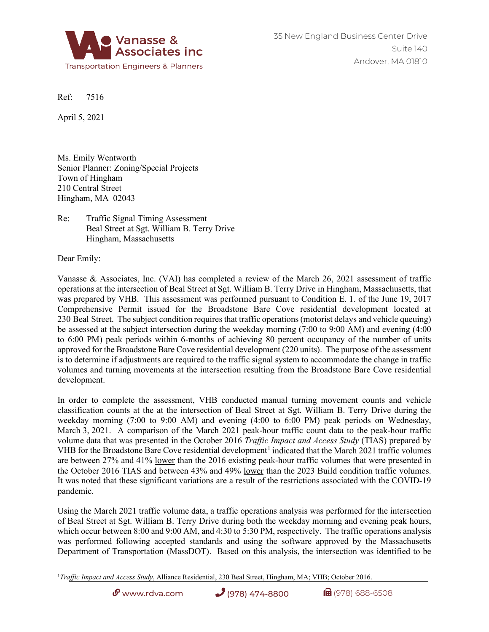

Ref: 7516

April 5, 2021

Ms. Emily Wentworth Senior Planner: Zoning/Special Projects Town of Hingham 210 Central Street Hingham, MA 02043

Re: Traffic Signal Timing Assessment Beal Street at Sgt. William B. Terry Drive Hingham, Massachusetts

Dear Emily:

Vanasse & Associates, Inc. (VAI) has completed a review of the March 26, 2021 assessment of traffic operations at the intersection of Beal Street at Sgt. William B. Terry Drive in Hingham, Massachusetts, that was prepared by VHB. This assessment was performed pursuant to Condition E. 1. of the June 19, 2017 Comprehensive Permit issued for the Broadstone Bare Cove residential development located at 230 Beal Street. The subject condition requires that traffic operations (motorist delays and vehicle queuing) be assessed at the subject intersection during the weekday morning (7:00 to 9:00 AM) and evening (4:00 to 6:00 PM) peak periods within 6-months of achieving 80 percent occupancy of the number of units approved for the Broadstone Bare Cove residential development (220 units). The purpose of the assessment is to determine if adjustments are required to the traffic signal system to accommodate the change in traffic volumes and turning movements at the intersection resulting from the Broadstone Bare Cove residential development.

In order to complete the assessment, VHB conducted manual turning movement counts and vehicle classification counts at the at the intersection of Beal Street at Sgt. William B. Terry Drive during the weekday morning (7:00 to 9:00 AM) and evening (4:00 to 6:00 PM) peak periods on Wednesday, March 3, 2021. A comparison of the March 2021 peak-hour traffic count data to the peak-hour traffic volume data that was presented in the October 2016 *Traffic Impact and Access Study* (TIAS) prepared by VHB for the Broadstone Bare Cove residential development<sup>[1](#page-0-0)</sup> indicated that the March 2021 traffic volumes are between 27% and 41% lower than the 2016 existing peak-hour traffic volumes that were presented in the October 2016 TIAS and between 43% and 49% lower than the 2023 Build condition traffic volumes. It was noted that these significant variations are a result of the restrictions associated with the COVID-19 pandemic.

Using the March 2021 traffic volume data, a traffic operations analysis was performed for the intersection of Beal Street at Sgt. William B. Terry Drive during both the weekday morning and evening peak hours, which occur between 8:00 and 9:00 AM, and 4:30 to 5:30 PM, respectively. The traffic operations analysis was performed following accepted standards and using the software approved by the Massachusetts Department of Transportation (MassDOT). Based on this analysis, the intersection was identified to be

 $\mathcal{O}$  www.rdva.com (978) 474-8800 (1)  $\mathcal{O}$  (978) 688-6508

<span id="page-0-0"></span><sup>1</sup>*Traffic Impact and Access Study*, Alliance Residential, 230 Beal Street, Hingham, MA; VHB; October 2016.